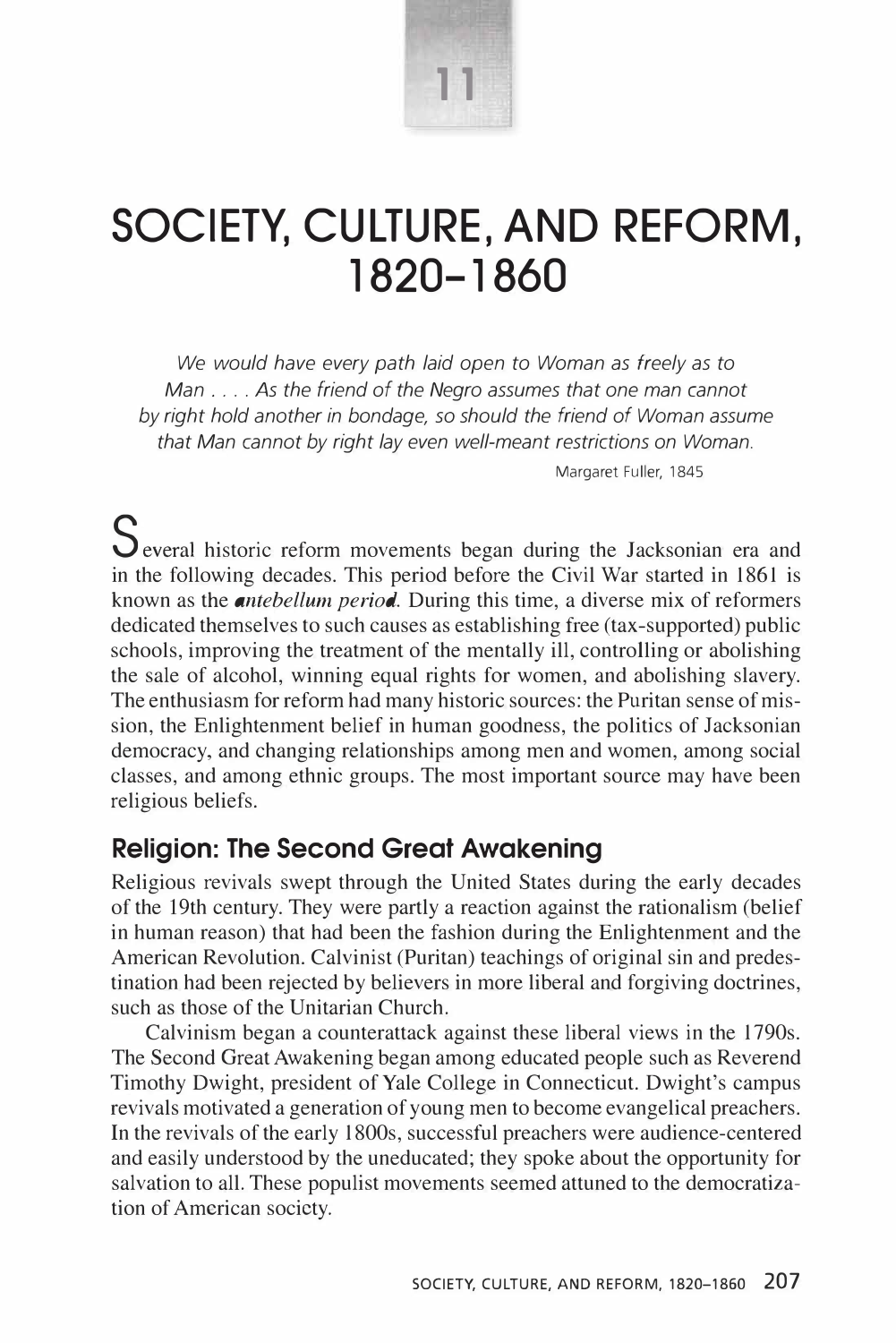

# **SOCIETY, CULTURE, AND REFORM, 1820-1860**

*We would have every path laid open to Woman as freely as to Man* .... *As the friend of the Negro assumes that one man cannot by right hold another in bondage, so should the friend of Woman assume that Man cannot by right lay even well-meant restrictions on Woman.* 

Margaret Fuller, 1845

Several historic reform movements began during the Jacksonian era and in the following decades. This period before the Civil War started in 1861 is known as the *antebellum period.* During this time, a diverse mix of reformers dedicated themselves to such causes as establishing free (tax-supported) public schools, improving the treatment of the mentally ill, controlling or abolishing the sale of alcohol, winning equal rights for women, and abolishing slavery. The enthusiasm for reform had many historic sources: the Puritan sense of mission, the Enlightenment belief in human goodness, the politics of Jacksonian democracy, and changing relationships among men and women, among social classes, and among ethnic groups. The most important source may have been religious beliefs.

## **Religion: The Second Great Awakening**

Religious revivals swept through the United States during the early decades of the 19th century. They were partly a reaction against the rationalism (belief in human reason) that had been the fashion during the Enlightenment and the American Revolution. Calvinist (Puritan) teachings of original sin and predestination had been rejected by believers in more liberal and forgiving doctrines, such as those of the Unitarian Church.

Calvinism began a counterattack against these liberal views in the 1790s. The Second Great Awakening began among educated people such as Reverend Timothy Dwight, president of Yale College in Connecticut. Dwight's campus revivals motivated a generation of young men to become evangelical preachers. In the revivals of the early 1800s, successful preachers were audience-centered and easily understood by the uneducated; they spoke about the opportunity for salvation to all. These populist movements seemed attuned to the democratization of American society.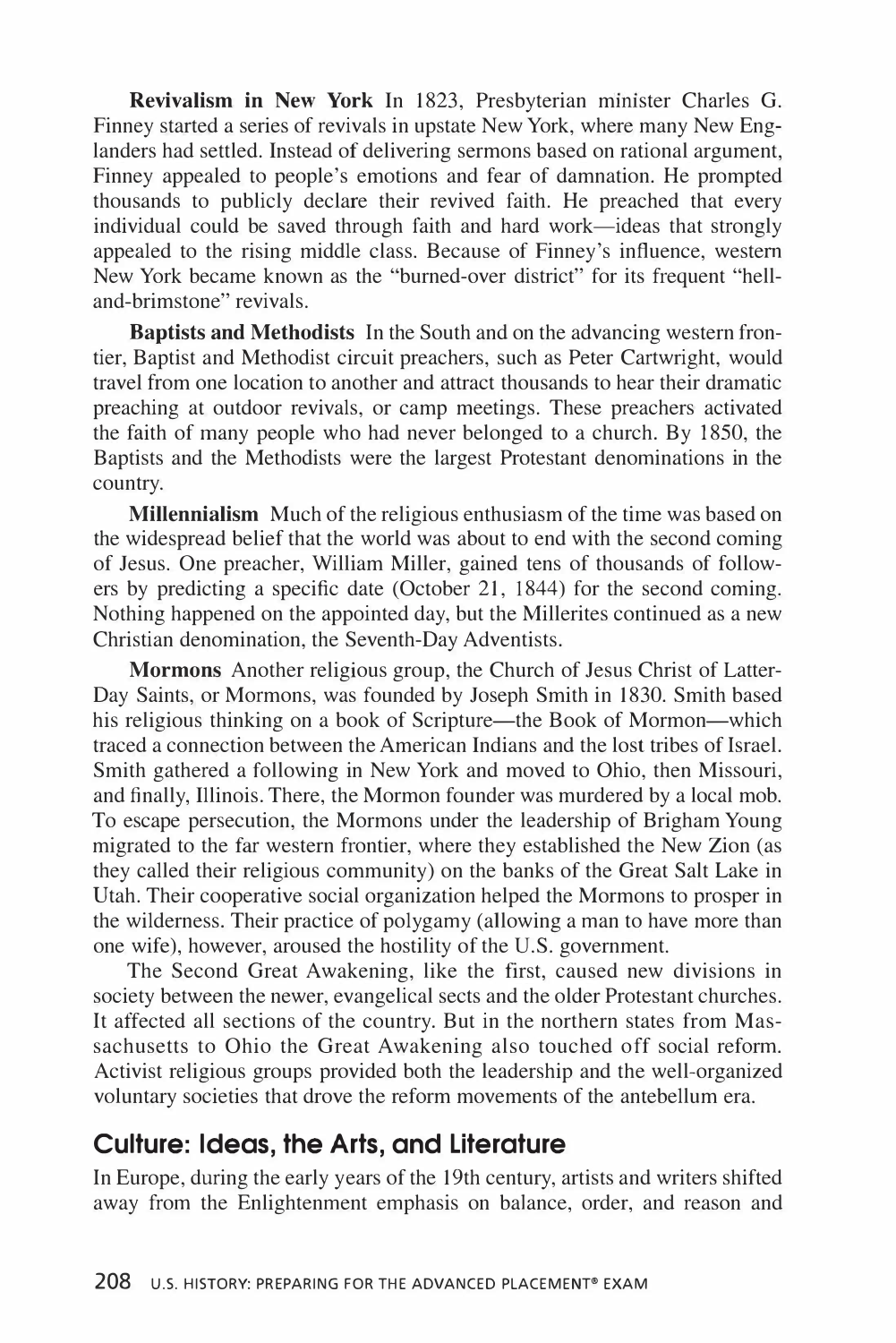**Revivalism in New York In 1823, Presbyterian minister Charles G.** Finney started a series of revivals in upstate New York, where many New Englanders had settled. Instead of delivering sermons based on rational argument, Finney appealed to people's emotions and fear of damnation. He prompted thousands to publicly declare their revived faith. He preached that every individual could be saved through faith and hard work—ideas that strongly appealed to the rising middle class. Because of Finney's influence, western New York became known as the "burned-over district" for its frequent "helland-brimstone" revivals.

**Baptists and Methodists** In the South and on the advancing western frontier, Baptist and Methodist circuit preachers, such as Peter Cartwright, would travel from one location to another and attract thousands to hear their dramatic preaching at outdoor revivals, or camp meetings. These preachers activated the faith of many people who had never belonged to a church. By 1850, the Baptists and the Methodists were the largest Protestant denominations in the country.

**Millennialism** Much of the religious enthusiasm of the time was based on the widespread belief that the world was about to end with the second coming of Jesus. One preacher, William Miller, gained tens of thousands of followers by predicting a specific date (October 21, 1844) for the second coming. Nothing happened on the appointed day, but the Millerites continued as a new Christian denomination, the Seventh-Day Adventists.

**Mormons** Another religious group, the Church of Jesus Christ of Latter-Day Saints, or Mormons, was founded by Joseph Smith in 1830. Smith based his religious thinking on a book of Scripture—the Book of Mormon—which traced a connection between the American Indians and the lost tribes of Israel. Smith gathered a following in New York and moved to Ohio, then Missouri, and finally, Illinois. There, the Mormon founder was murdered by a local mob. To escape persecution, the Mormons under the leadership of Brigham Young migrated to the far western frontier, where they established the New Zion (as they called their religious community) on the banks of the Great Salt Lake in Utah. Their cooperative social organization helped the Mormons to prosper in the wilderness. Their practice of polygamy (allowing a man to have more than one wife), however, aroused the hostility of the U.S. government.

The Second Great Awakening, like the first, caused new divisions in society between the newer, evangelical sects and the older Protestant churches. It affected all sections of the country. But in the northern states from Massachusetts to Ohio the Great Awakening also touched off social reform. Activist religious groups provided both the leadership and the well-organized voluntary societies that drove the reform movements of the antebellum era.

## **Culture: Ideas, the Arts, and Literature**

In Europe, during the early years of the 19th century, artists and writers shifted away from the Enlightenment emphasis on balance, order, and reason and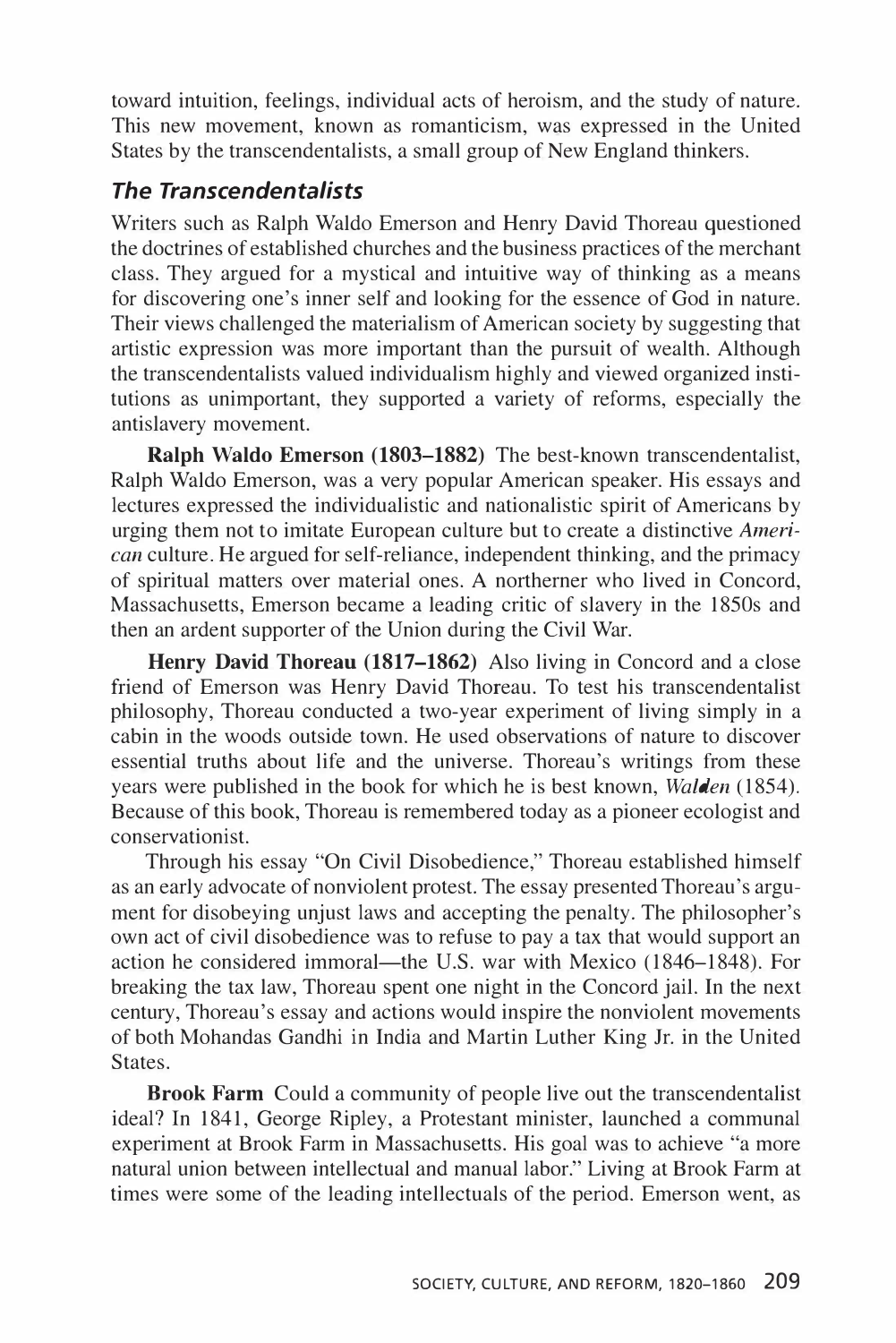toward intuition, feelings, individual acts of heroism, and the study of nature. This new movement, known as romanticism, was expressed in the United States by the transcendentalists, a small group of New England thinkers.

### *The Transcendentalists*

Writers such as Ralph Waldo Emerson and Henry David Thoreau questioned the doctrines of established churches and the business practices of the merchant class. They argued for a mystical and intuitive way of thinking as a means for discovering one's inner self and looking for the essence of God in nature. Their views challenged the materialism of American society by suggesting that artistic expression was more important than the pursuit of wealth. Although the transcendentalists valued individualism highly and viewed organized institutions as unimportant, they supported a variety of reforms, especially the antislavery movement.

**Ralph Waldo Emerson (1803-1882)** The best-known transcendentalist, Ralph Waldo Emerson, was a very popular American speaker. His essays and lectures expressed the individualistic and nationalistic spirit of Americans by urging them not to imitate European culture but to create a distinctive *American* culture. He argued for self-reliance, independent thinking, and the primacy of spiritual matters over material ones. A northerner who lived in Concord, Massachusetts, Emerson became a leading critic of slavery in the 1850s and then an ardent supporter of the Union during the Civil War.

**Henry David Thoreau (1817-1862)** Also living in Concord and a close friend of Emerson was Henry David Thoreau. To test his transcendentalist philosophy, Thoreau conducted a two-year experiment of living simply in a cabin in the woods outside town. He used observations of nature to discover essential truths about life and the universe. Thoreau's writings from these years were published in the book for which he is best known, *Walden* (1854). Because of this book, Thoreau is remembered today as a pioneer ecologist and conservationist.

Through his essay "On Civil Disobedience," Thoreau established himself as an early advocate of nonviolent protest. The essay presented Thoreau's argument for disobeying unjust laws and accepting the penalty. The philosopher's own act of civil disobedience was to refuse to pay a tax that would support an action he considered immoral—the U.S. war with Mexico (1846–1848). For breaking the tax law, Thoreau spent one night in the Concord jail. In the next century, Thoreau's essay and actions would inspire the nonviolent movements of both Mohandas Gandhi in India and Martin Luther King Jr. in the United States.

**Brook Farm** Could a community of people live out the transcendentalist ideal? In 1841, George Ripley, a Protestant minister, launched a communal experiment at Brook Farm in Massachusetts. His goal was to achieve "a more natural union between intellectual and manual labor." Living at Brook Farm at times were some of the leading intellectuals of the period. Emerson went, as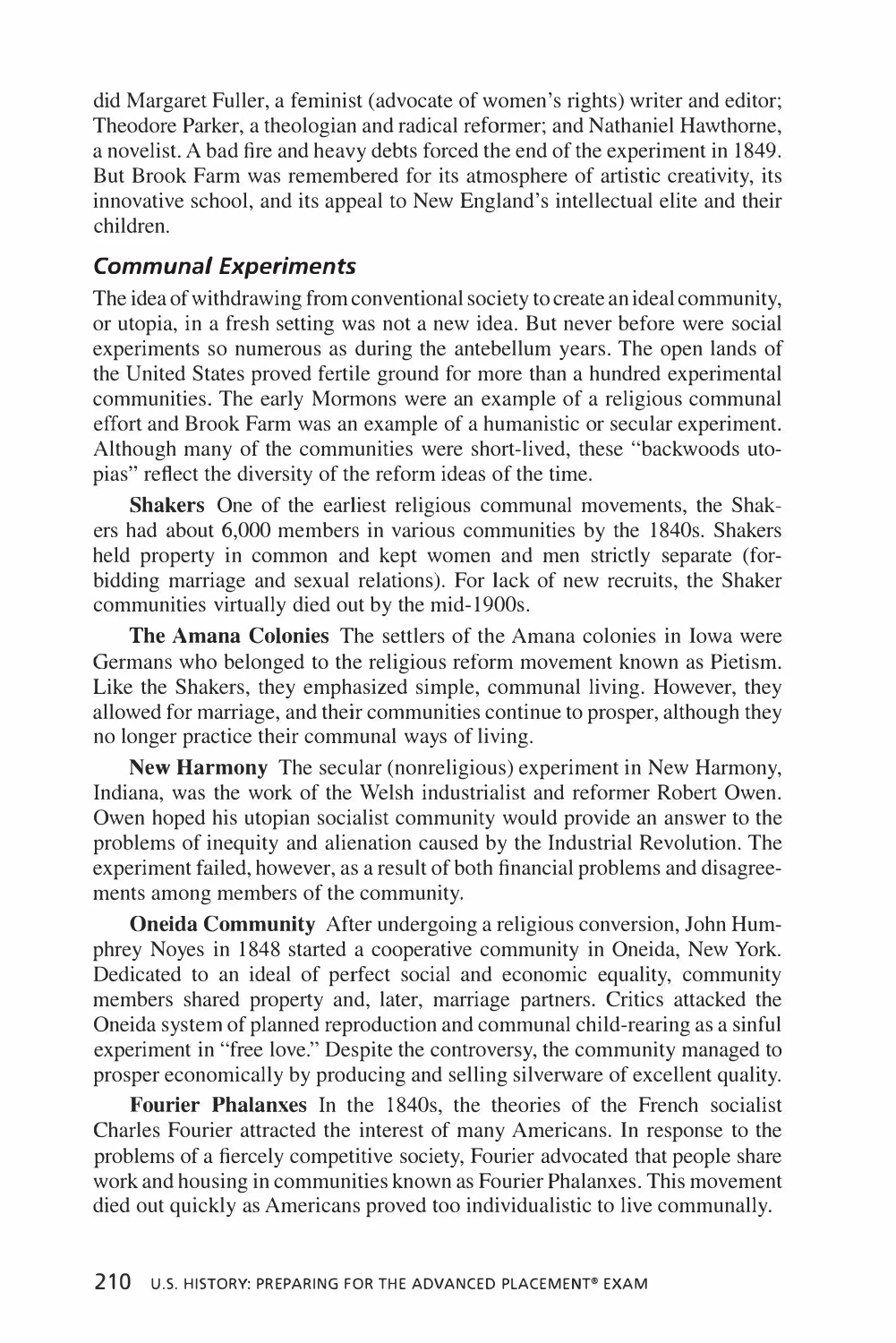did Margaret Fuller, a feminist (advocate of women's rights) writer and editor; Theodore Parker, a theologian and radical reformer; and Nathaniel Hawthorne, a novelist. A bad fire and heavy debts forced the end of the experiment in 1849. But Brook Farm was remembered for its atmosphere of artistic creativity, its innovative school, and its appeal to New England's intellectual elite and their children.

### *Communal Experiments*

The idea of withdrawing from conventional society to create an ideal community, or utopia, in a fresh setting was not a new idea. But never before were social experiments so numerous as during the antebellum years. The open lands of the United States proved fertile ground for more than a hundred experimental communities. The early Mormons were an example of a religious communal effort and Brook Farm was an example of a humanistic or secular experiment. Although many of the communities were short-lived, these "backwoods utopias" reflect the diversity of the reform ideas of the time.

**Shakers** One of the earliest religious communal movements, the Shakers had about 6,000 members in various communities by the 1840s. Shakers held property in common and kept women and men strictly separate (forbidding marriage and sexual relations). For lack of new recruits, the Shaker communities virtually died out by the mid-1900s.

**The Amana Colonies** The settlers of the Amana colonies in Iowa were Germans who belonged to the religious reform movement known as Pietism. Like the Shakers, they emphasized simple, communal living. However, they allowed for marriage, and their communities continue to prosper, although they no longer practice their communal ways of living.

**New Harmony** The secular (nonreligious) experiment in New Harmony, Indiana, was the work of the Welsh industrialist and reformer Robert Owen. Owen hoped his utopian socialist community would provide an answer to the problems of inequity and alienation caused by the Industrial Revolution. The experiment failed, however, as a result of both financial problems and disagreements among members of the community.

**Oneida Community** After undergoing a religious conversion, John Humphrey Noyes in 1848 started a cooperative community in Oneida, New York. Dedicated to an ideal of perfect social and economic equality, community members shared property and, later, marriage partners. Critics attacked the Oneida system of planned reproduction and communal child-rearing as a sinful experiment in "free love." Despite the controversy, the community managed to prosper economically by producing and selling silverware of excellent quality.

**Fourier Phalanxes** In the 1840s, the theories of the French socialist Charles Fourier attracted the interest of many Americans. In response to the problems of a fiercely competitive society, Fourier advocated that people share work and housing in communities known as Fourier Phalanxes. This movement died out quickly as Americans proved too individualistic to live communally.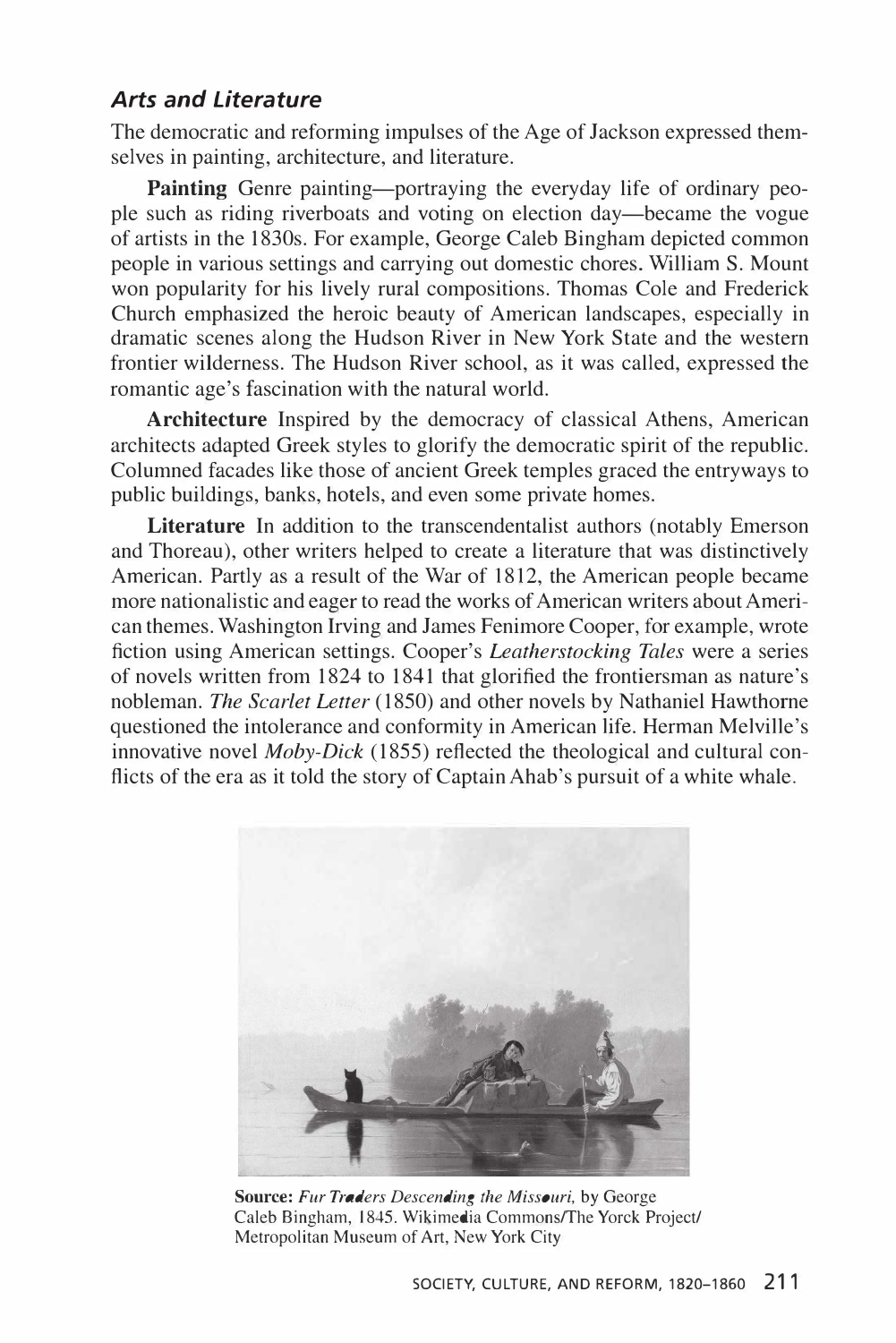### *Arts and literature*

The democratic and reforming impulses of the Age of Jackson expressed themselves in painting, architecture, and literature.

Painting Genre painting-portraying the everyday life of ordinary people such as riding riverboats and voting on election day-became the vogue of artists in the 1830s. For example, George Caleb Bingham depicted common people in various settings and carrying out domestic chores. William S. Mount won popularity for his lively rural compositions. Thomas Cole and Frederick Church emphasized the heroic beauty of American landscapes, especially in dramatic scenes along the Hudson River in New York State and the western frontier wilderness. The Hudson River school, as it was called, expressed the romantic age's fascination with the natural world.

**Architecture** Inspired by the democracy of classical Athens, American architects adapted Greek styles to glorify the democratic spirit of the republic. Columned facades like those of ancient Greek temples graced the entryways to public buildings, banks, hotels, and even some private homes.

**Literature** In addition to the transcendentalist authors (notably Emerson and Thoreau), other writers helped to create a literature that was distinctively American. Partly as a result of the War of 1812, the American people became more nationalistic and eager to read the works of American writers about American themes. Washington Irving and James Fenimore Cooper, for example, wrote fiction using American settings. Cooper's *Leatherstocking Tales* were a series of novels written from 1824 to 1841 that glorified the frontiersman as nature's nobleman. *The Scarlet Letter* (1850) and other novels by Nathaniel Hawthorne questioned the intolerance and conformity in American life. Herman Melville's innovative novel *Moby-Dick* (1855) reflected the theological and cultural conflicts of the era as it told the story of Captain Ahab's pursuit of a white whale.



**Source:** *Fur Traders Descending the Missouri,* by George Caleb Bingham, 1845. Wikimedia Commons/The Yorck Project/ Metropolitan Museum of Art, New York City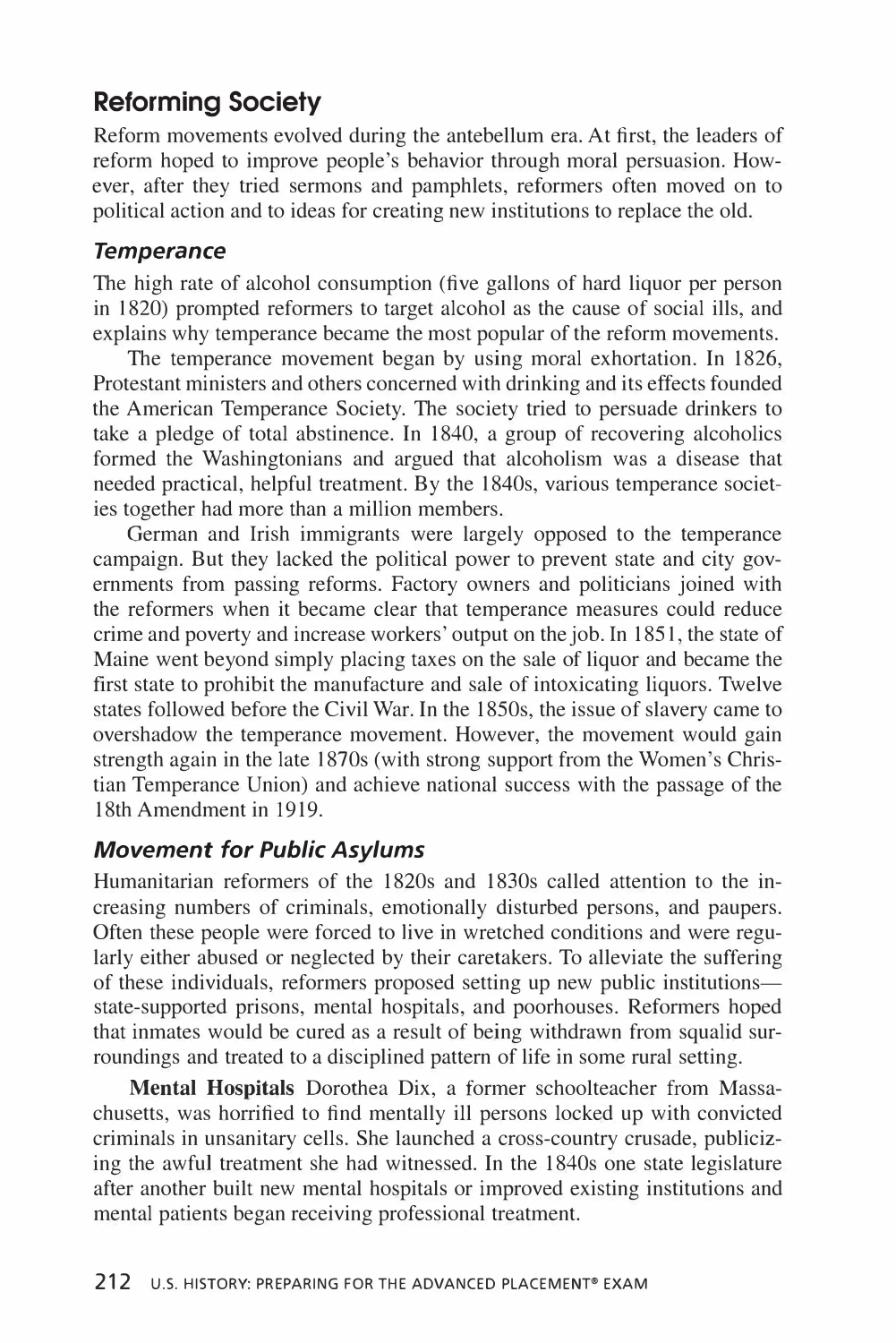# **Reforming Society**

Reform movements evolved during the antebellum era. At first, the leaders of reform hoped to improve people's behavior through moral persuasion. However, after they tried sermons and pamphlets, reformers often moved on to political action and to ideas for creating new institutions to replace the old.

#### *Temperance*

The high rate of alcohol consumption (five gallons of hard liquor per person in 1820) prompted reformers to target alcohol as the cause of social ills, and explains why temperance became the most popular of the reform movements.

The temperance movement began by using moral exhortation. In 1826, Protestant ministers and others concerned with drinking and its effects founded the American Temperance Society. The society tried to persuade drinkers to take a pledge of total abstinence. In 1840, a group of recovering alcoholics formed the Washingtonians and argued that alcoholism was a disease that needed practical, helpful treatment. By the 1840s, various temperance societies together had more than a million members.

German and Irish immigrants were largely opposed to the temperance campaign. But they lacked the political power to prevent state and city governments from passing reforms. Factory owners and politicians joined with the reformers when it became clear that temperance measures could reduce crime and poverty and increase workers' output on the job. In 1851, the state of Maine went beyond simply placing taxes on the sale of liquor and became the first state to prohibit the manufacture and sale of intoxicating liquors. Twelve states followed before the Civil War. In the 1850s, the issue of slavery came to overshadow the temperance movement. However, the movement would gain strength again in the late 1870s (with strong support from the Women's Christian Temperance Union) and achieve national success with the passage of the 18th Amendment in 1919.

#### *Movement for Public Asylums*

Humanitarian reformers of the 1820s and 1830s called attention to the increasing numbers of criminals, emotionally disturbed persons, and paupers. Often these people were forced to live in wretched conditions and were regularly either abused or neglected by their caretakers. To alleviate the suffering of these individuals, reformers proposed setting up new public institutionsstate-supported prisons, mental hospitals, and poorhouses. Reformers hoped that inmates would be cured as a result of being withdrawn from squalid surroundings and treated to a disciplined pattern of life in some rural setting.

**Mental Hospitals** Dorothea Dix, a former schoolteacher from Massachusetts, was horrified to find mentally ill persons locked up with convicted criminals in unsanitary cells. She launched a cross-country crusade, publicizing the awful treatment she had witnessed. In the 1840s one state legislature after another built new mental hospitals or improved existing institutions and mental patients began receiving professional treatment.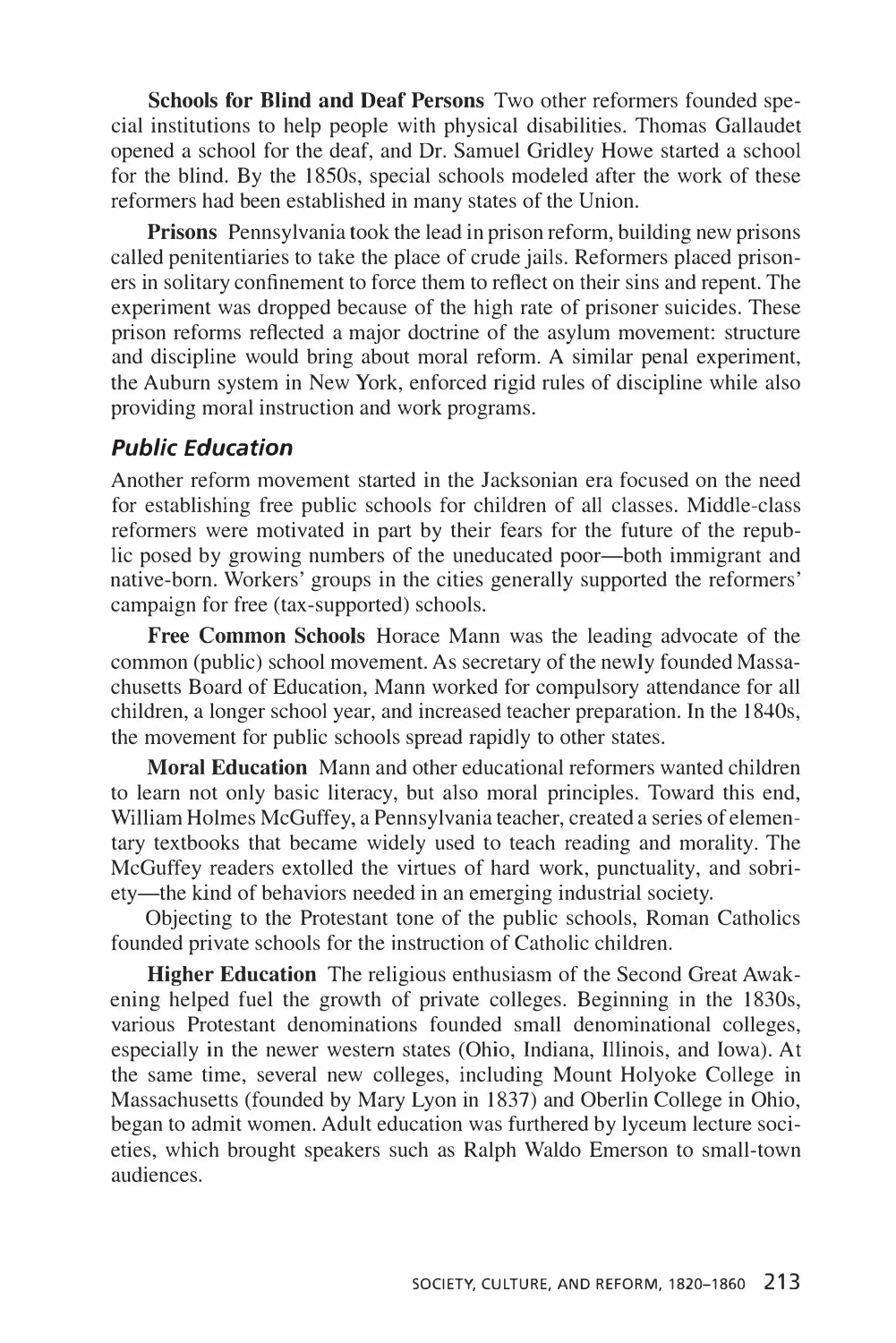**Schools for Blind and Deaf Persons** Two other reformers founded special institutions to help people with physical disabilities. Thomas Gallaudet opened a school for the deaf, and Dr. Samuel Gridley Howe started a school for the blind. By the 1850s, special schools modeled after the work of these reformers had been established in many states of the Union.

**Prisons** Pennsylvania took the lead in prison reform, building new prisons called penitentiaries to take the place of crude jails. Reformers placed prisoners in solitary confinement to force them to reflect on their sins and repent. The experiment was dropped because of the high rate of prisoner suicides. These prison reforms reflected a major doctrine of the asylum movement: structure and discipline would bring about moral reform. A similar penal experiment, the Auburn system in New York, enforced rigid rules of discipline while also providing moral instruction and work programs.

#### *Public Education*

Another reform movement started in the Jacksonian era focused on the need for establishing free public schools for children of all classes. Middle-class reformers were motivated in part by their fears for the future of the republic posed by growing numbers of the uneducated poor—both immigrant and native-born. Workers' groups in the cities generally supported the reformers' campaign for free (tax-supported) schools.

**Free Common Schools** Horace Mann was the leading advocate of the common (public) school movement. As secretary of the newly founded Massachusetts Board of Education, Mann worked for compulsory attendance for all children, a longer school year, and increased teacher preparation. In the 1840s, the movement for public schools spread rapidly to other states.

**Moral Education** Mann and other educational reformers wanted children to learn not only basic literacy, but also moral principles. Toward this end, William Holmes McGuffey, a Pennsylvania teacher, created a series of elementary textbooks that became widely used to teach reading and morality. The McGuffey readers extolled the virtues of hard work, punctuality, and sobriety—the kind of behaviors needed in an emerging industrial society.

Objecting to the Protestant tone of the public schools, Roman Catholics founded private schools for the instruction of Catholic children.

**Higher Education** The religious enthusiasm of the Second Great Awakening helped fuel the growth of private colleges. Beginning in the 1830s, various Protestant denominations founded small denominational colleges, especially in the newer western states (Ohio, Indiana, Illinois, and Iowa). At the same time, several new colleges, including Mount Holyoke College in Massachusetts (founded by Mary Lyon in 1837) and Oberlin College in Ohio, began to admit women. Adult education was furthered by lyceum lecture societies, which brought speakers such as Ralph Waldo Emerson to small-town audiences.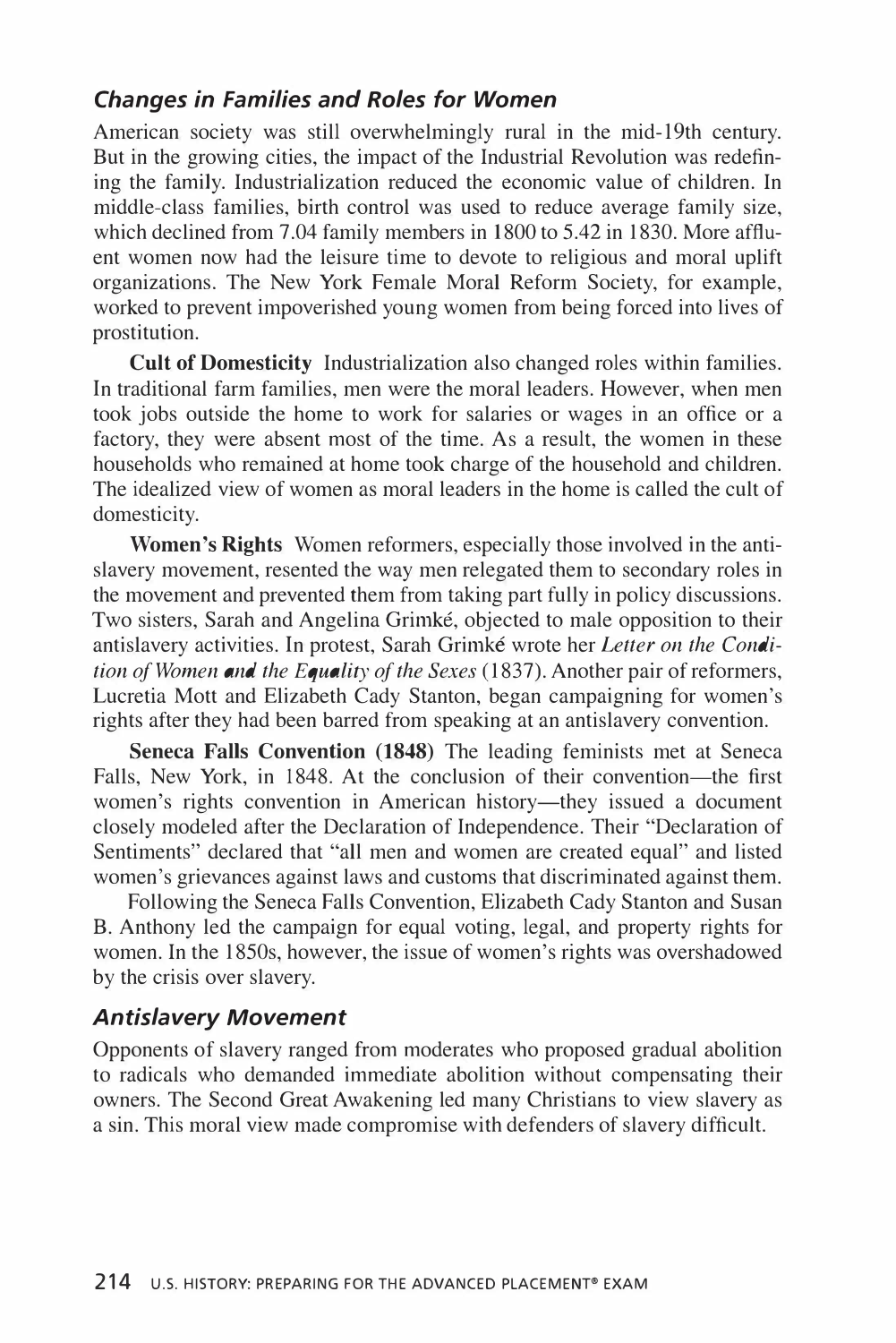#### *Changes in Families and Roles for Women*

American society was still overwhelmingly rural in the mid-19th century. But in the growing cities, the impact of the Industrial Revolution was redefining the family. Industrialization reduced the economic value of children. In middle-class families, birth control was used to reduce average family size, which declined from 7.04 family members in 1800 to 5.42 in 1830. More affluent women now had the leisure time to devote to religious and moral uplift organizations. The New York Female Moral Reform Society, for example, worked to prevent impoverished young women from being forced into lives of prostitution.

**Cult of Domesticity** Industrialization also changed roles within families. In traditional farm families, men were the moral leaders. However, when men took jobs outside the home to work for salaries or wages in an office or a factory, they were absent most of the time. As a result, the women in these households who remained at home took charge of the household and children. The idealized view of women as moral leaders in the home is called the cult of domesticity.

**Women's Rights** Women reformers, especially those involved in the antislavery movement, resented the way men relegated them to secondary roles in the movement and prevented them from taking part fully in policy discussions. Two sisters, Sarah and Angelina Grimké, objected to male opposition to their antislavery activities. In protest, Sarah Grimké wrote her *Letter on the Condition of Women and the Equality of the Sexes* (1837). Another pair of reformers, Lucretia Mott and Elizabeth Cady Stanton, began campaigning for women's rights after they had been barred from speaking at an antislavery convention.

**Seneca Falls Convention (1848)** The leading feminists met at Seneca Falls, New York, in 1848. At the conclusion of their convention—the first women's rights convention in American history—they issued a document closely modeled after the Declaration of Independence. Their "Declaration of Sentiments" declared that "all men and women are created equal" and listed women's grievances against laws and customs that discriminated against them.

Following the Seneca Falls Convention, Elizabeth Cady Stanton and Susan B. Anthony led the campaign for equal voting, legal, and property rights for women. In the 1850s, however, the issue of women's rights was overshadowed by the crisis over slavery.

#### *Antislavery Movement*

Opponents of slavery ranged from moderates who proposed gradual abolition to radicals who demanded immediate abolition without compensating their owners. The Second Great Awakening led many Christians to view slavery as a sin. This moral view made compromise with defenders of slavery difficult.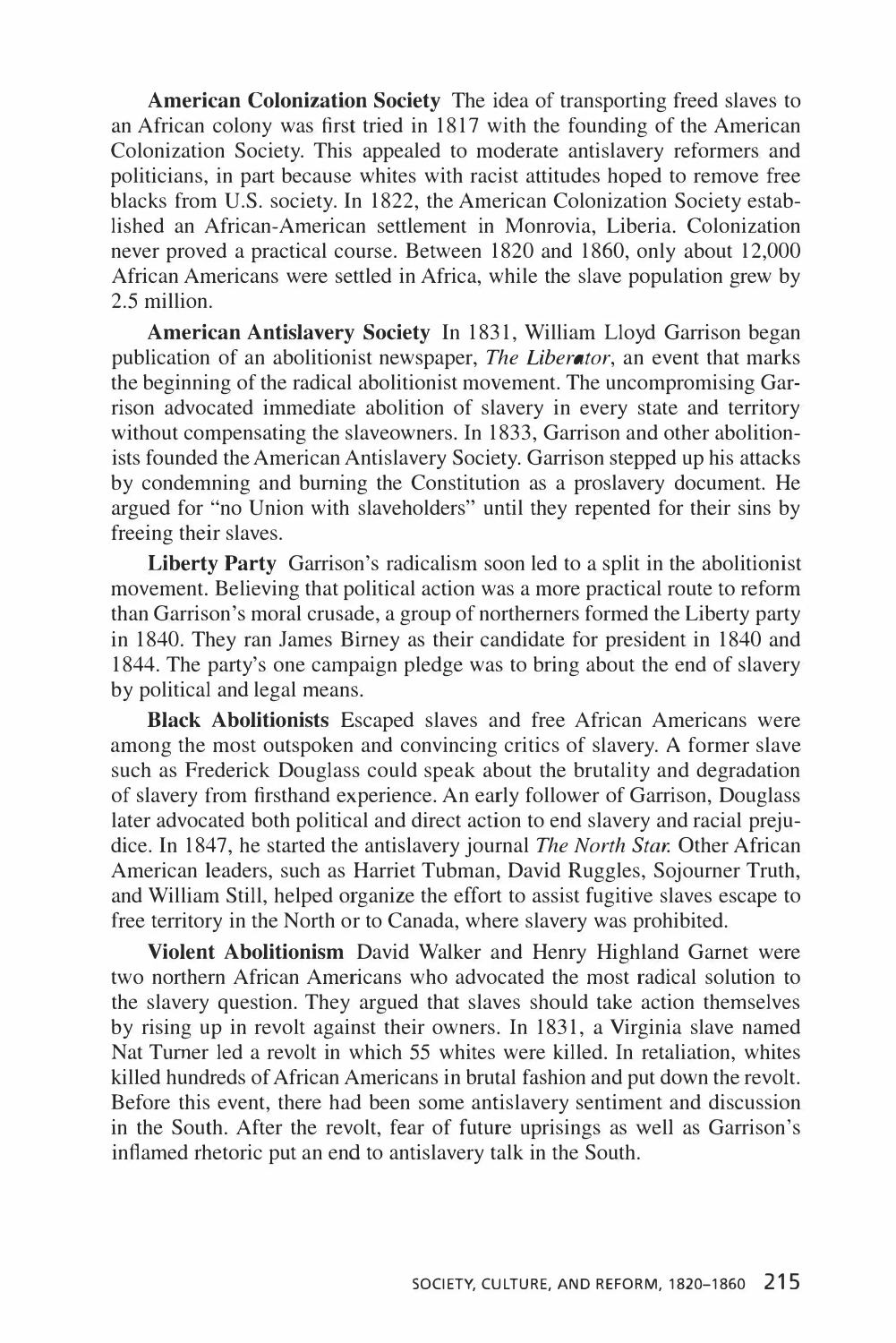**American Colonization Society** The idea of transporting freed slaves to an African colony was first tried in 1817 with the founding of the American Colonization Society. This appealed to moderate antislavery reformers and politicians, in part because whites with racist attitudes hoped to remove free blacks from U.S. society. In 1822, the American Colonization Society established an African-American settlement in Monrovia, Liberia. Colonization never proved a practical course. Between 1820 and 1860, only about 12,000 African Americans were settled in Africa, while the slave population grew by 2.5 million.

**American Antislavery Society** In 1831, William Lloyd Garrison began publication of an abolitionist newspaper, *The Liberator,* an event that marks the beginning of the radical abolitionist movement. The uncompromising Garrison advocated immediate abolition of slavery in every state and territory without compensating the slaveowners. In 1833, Garrison and other abolitionists founded the American Antislavery Society. Garrison stepped up his attacks by condemning and burning the Constitution as a proslavery document. He argued for "no Union with slaveholders" until they repented for their sins by freeing their slaves.

**Liberty Party** Garrison's radicalism soon led to a split in the abolitionist movement. Believing that political action was a more practical route to reform than Garrison's moral crusade, a group of northerners formed the Liberty party in 1840. They ran James Birney as their candidate for president in 1840 and 1844. The party's one campaign pledge was to bring about the end of slavery by political and legal means.

**Black Abolitionists** Escaped slaves and free African Americans were among the most outspoken and convincing critics of slavery. A former slave such as Frederick Douglass could speak about the brutality and degradation of slavery from firsthand experience. An early follower of Garrison, Douglass later advocated both political and direct action to end slavery and racial prejudice. In 1847, he started the antislavery journal *The North Star.* Other African American leaders, such as Harriet Tubman, David Ruggles, Sojourner Truth, and William Still, helped organize the effort to assist fugitive slaves escape to free territory in the North or to Canada, where slavery was prohibited.

**Violent Abolitionism** David Walker and Henry Highland Garnet were two northern African Americans who advocated the most radical solution to the slavery question. They argued that slaves should take action themselves by rising up in revolt against their owners. In 1831, a Virginia slave named Nat Turner led a revolt in which 55 whites were killed. In retaliation, whites killed hundreds of African Americans in brutal fashion and put down the revolt. Before this event, there had been some antislavery sentiment and discussion in the South. After the revolt, fear of future uprisings as well as Garrison's inflamed rhetoric put an end to antislavery talk in the South.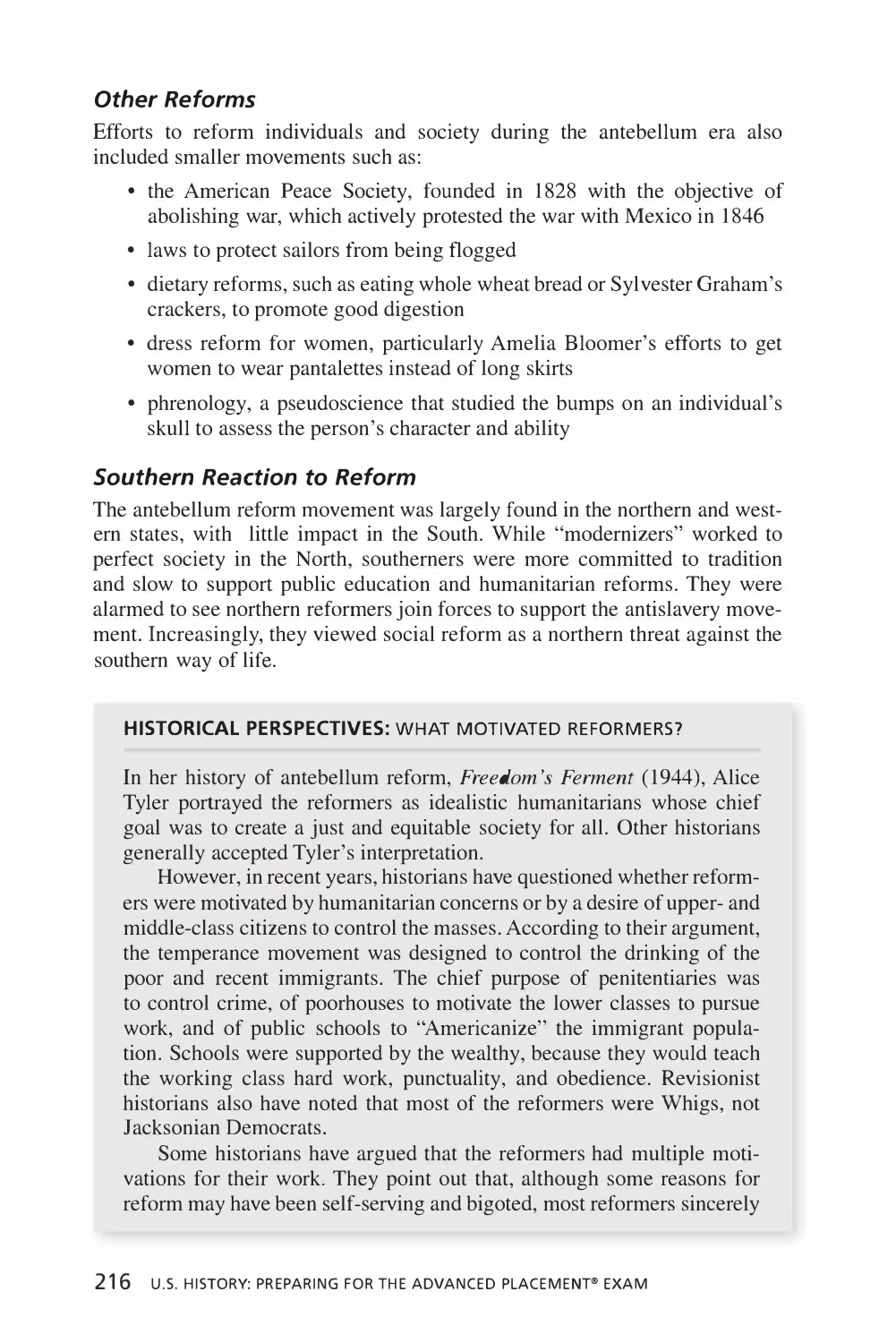## *Other Reforms*

Efforts to reform individuals and society during the antebellum era also included smaller movements such as:

- the American Peace Society, founded in 1828 with the objective of abolishing war, which actively protested the war with Mexico in 1846
- laws to protect sailors from being flogged
- dietary reforms, such as eating whole wheat bread or Sylvester Graham's crackers, to promote good digestion
- dress reform for women, particularly Amelia Bloomer's efforts to get women to wear pantalettes instead of long skirts
- phrenology, a pseudoscience that studied the bumps on an individual's skull to assess the person's character and ability

#### *Southern Reaction* **to** *Reform*

The antebellum reform movement was largely found in the northern and western states, with little impact in the South. While "modernizers" worked to perfect society in the North, southerners were more committed to tradition and slow to support public education and humanitarian reforms. They were alarmed to see northern reformers join forces to support the antislavery movement. Increasingly, they viewed social reform as a northern threat against the southern way of life.

#### **HISTORICAL PERSPECTIVES:** WHAT MOTIVATED REFORMERS?

In her history of antebellum reform, *Freedom's Ferment* (1944), Alice Tyler portrayed the reformers as idealistic humanitarians whose chief goal was to create a just and equitable society for all. Other historians generally accepted Tyler's interpretation.

However, in recent years, historians have questioned whether reformers were motivated by humanitarian concerns or by a desire of upper- and middle-class citizens to control the masses. According to their argument, the temperance movement was designed to control the drinking of the poor and recent immigrants. The chief purpose of penitentiaries was to control crime, of poorhouses to motivate the lower classes to pursue work, and of public schools to "Americanize" the immigrant population. Schools were supported by the wealthy, because they would teach the working class hard work, punctuality, and obedience. Revisionist historians also have noted that most of the reformers were Whigs, not Jacksonian Democrats.

Some historians have argued that the reformers had multiple motivations for their work. They point out that, although some reasons for reform may have been self-serving and bigoted, most reformers sincerely